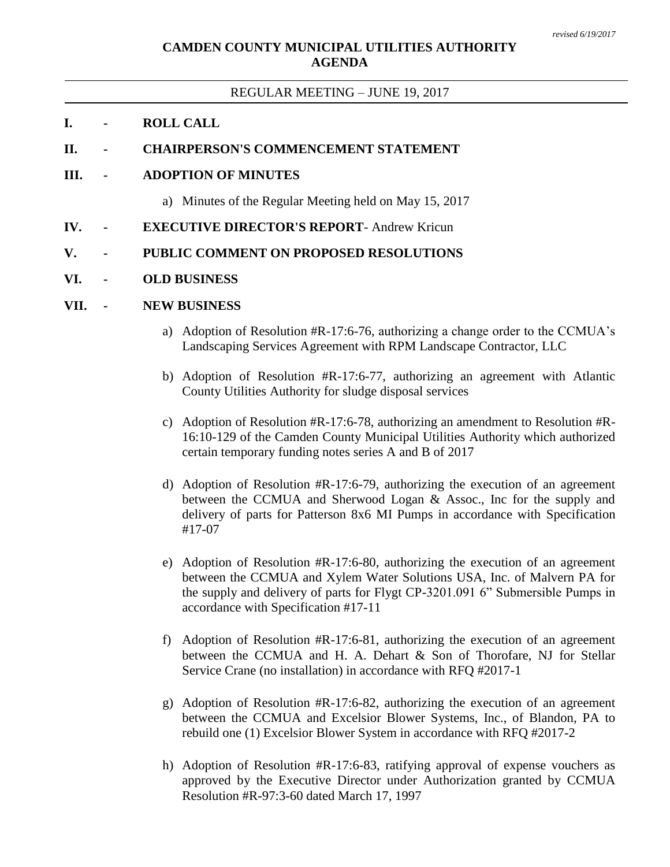# **CAMDEN COUNTY MUNICIPAL UTILITIES AUTHORITY AGENDA**

#### REGULAR MEETING – JUNE 19, 2017

## **I. - ROLL CALL**

#### **II. - CHAIRPERSON'S COMMENCEMENT STATEMENT**

#### **III. - ADOPTION OF MINUTES**

- a) Minutes of the Regular Meeting held on May 15, 2017
- **IV. - EXECUTIVE DIRECTOR'S REPORT** Andrew Kricun

## **V. - PUBLIC COMMENT ON PROPOSED RESOLUTIONS**

#### **VI. - OLD BUSINESS**

#### **VII. - NEW BUSINESS**

- a) Adoption of Resolution #R-17:6-76, authorizing a change order to the CCMUA's Landscaping Services Agreement with RPM Landscape Contractor, LLC
- b) Adoption of Resolution #R-17:6-77, authorizing an agreement with Atlantic County Utilities Authority for sludge disposal services
- c) Adoption of Resolution #R-17:6-78, authorizing an amendment to Resolution #R-16:10-129 of the Camden County Municipal Utilities Authority which authorized certain temporary funding notes series A and B of 2017
- d) Adoption of Resolution #R-17:6-79, authorizing the execution of an agreement between the CCMUA and Sherwood Logan & Assoc., Inc for the supply and delivery of parts for Patterson 8x6 MI Pumps in accordance with Specification #17-07
- e) Adoption of Resolution #R-17:6-80, authorizing the execution of an agreement between the CCMUA and Xylem Water Solutions USA, Inc. of Malvern PA for the supply and delivery of parts for Flygt CP-3201.091 6" Submersible Pumps in accordance with Specification #17-11
- f) Adoption of Resolution #R-17:6-81, authorizing the execution of an agreement between the CCMUA and H. A. Dehart & Son of Thorofare, NJ for Stellar Service Crane (no installation) in accordance with RFQ #2017-1
- g) Adoption of Resolution #R-17:6-82, authorizing the execution of an agreement between the CCMUA and Excelsior Blower Systems, Inc., of Blandon, PA to rebuild one (1) Excelsior Blower System in accordance with RFQ #2017-2
- h) Adoption of Resolution #R-17:6-83, ratifying approval of expense vouchers as approved by the Executive Director under Authorization granted by CCMUA Resolution #R-97:3-60 dated March 17, 1997